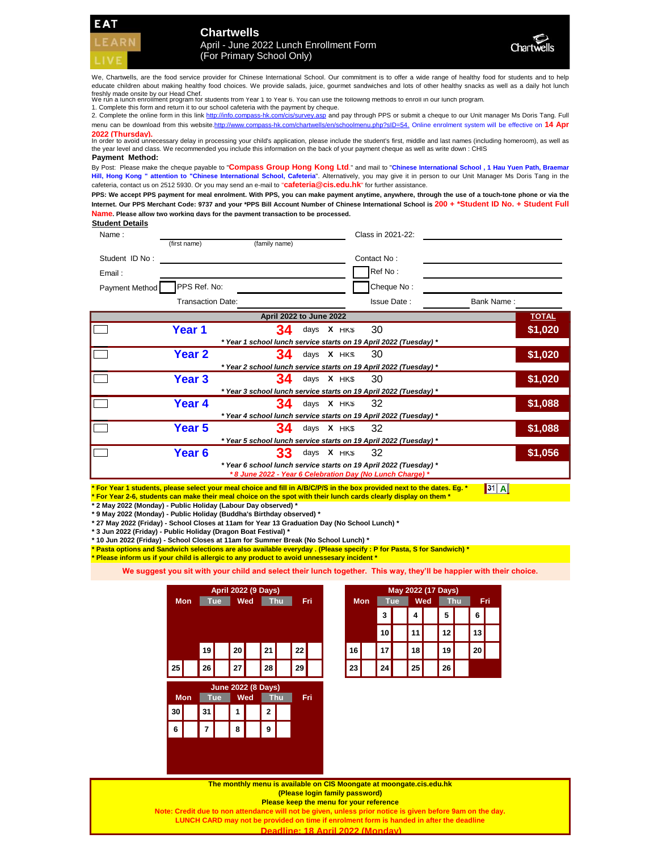**WELCOME Chartwells** April - June 2022 Lunch Enrollment Form (For Primary School Only)



We, Chartwells, are the food service provider for Chinese International School. Our commitment is to offer a wide range of healthy food for students and to help educate children about making healthy food choices. We provide salads, juice, gourmet sandwiches and lots of other healthy snacks as well as a daily hot lunch freshly made onsite by our Head Chef. We run a lunch enrollment program for students from Year 1 to Year 6. You can use the following methods to enroll in our lunch program.

1. Complete this form and return it to our school cafeteria with the payment by cheque.

2. Complete the online form in this link http://info.compass-hk.com/cis/survey.asp and pay through PPS or submit a cheque to our Unit manager Ms Doris Tang. Full menu can be download from this website.http://www.compass-hk.com/chartwells/en/schoolmenu.php?sID=54. Online enrolment system will be effective on 14 Apr **2022 (Thursday).**

In order to avoid unnecessary delay in processing your child's application, please include the student's first, middle and last names (including homeroom), as well as the year level and class. We recommended you include this information on the back of your payment cheque as well as write down : CHIS **Payment Method:**

By Post: Please make the cheque payable to "Compass Group Hong Kong Ltd." and mail to "Chinese International School, 1 Hau Yuen Path, Braemar Hill, Hong Kong " attention to "Chinese International School, Cafeteria". Alternatively, you may give it in person to our Unit Manager Ms Doris Tang in the cafeteria, contact us on 2512 5930. Or you may send an e-mail to "**cafeteria@cis.edu.hk**" for further assistance.

PPS: We accept PPS payment for meal enrolment. With PPS, you can make payment anytime, anywhere, through the use of a touch-tone phone or via the Internet. Our PPS Merchant Code: 9737 and your \*PPS Bill Account Number of Chinese International School is 200 + \*Student ID No. + Student Full **Name. Please allow two working days for the payment transaction to be processed.**

**Student Details**

| Name:          | (first name)             | (family name)                                                                                                                   |            | Class in 2021-22: |            |              |
|----------------|--------------------------|---------------------------------------------------------------------------------------------------------------------------------|------------|-------------------|------------|--------------|
| Student ID No: |                          |                                                                                                                                 |            | Contact No:       |            |              |
| Email:         |                          |                                                                                                                                 |            | Ref No:           |            |              |
| Payment Method | PPS Ref. No:             |                                                                                                                                 |            | Cheque No:        |            |              |
|                | <b>Transaction Date:</b> |                                                                                                                                 |            | Issue Date:       | Bank Name: |              |
|                |                          | April 2022 to June 2022                                                                                                         |            |                   |            | <b>TOTAL</b> |
|                | Year 1                   | 34                                                                                                                              | days X HKS | 30                |            | \$1,020      |
|                |                          | * Year 1 school lunch service starts on 19 April 2022 (Tuesday) *                                                               |            |                   |            |              |
|                | Year <sub>2</sub>        | 34                                                                                                                              | days X HKS | 30                |            | \$1,020      |
|                |                          | * Year 2 school lunch service starts on 19 April 2022 (Tuesday) *                                                               |            |                   |            |              |
|                | Year 3                   | 34                                                                                                                              | days X HKS | 30                |            | \$1,020      |
|                |                          | * Year 3 school lunch service starts on 19 April 2022 (Tuesday) *                                                               |            |                   |            |              |
|                | Year 4                   | 34                                                                                                                              | days X HKS | 32                |            | \$1,088      |
|                |                          | * Year 4 school lunch service starts on 19 April 2022 (Tuesday) *                                                               |            |                   |            |              |
|                | Year 5                   | 34                                                                                                                              | days X HKS | 32                |            | \$1,088      |
|                |                          | * Year 5 school lunch service starts on 19 April 2022 (Tuesday) *                                                               |            |                   |            |              |
|                | Year 6                   | 33                                                                                                                              | days X HKS | -32               |            | \$1,056      |
|                |                          | * Year 6 school lunch service starts on 19 April 2022 (Tuesday) *<br>* 8 June 2022 - Year 6 Celebration Day (No Lunch Charge) * |            |                   |            |              |

**\* For Year 1 students, please select your meal choice and fill in A/B/C/P/S in the box provided next to the dates. Eg. \* \* For Year 2-6, students can make their meal choice on the spot with their lunch cards clearly display on them \***  $\begin{bmatrix} 31 \end{bmatrix}$  A

**\* 2 May 2022 (Monday) - Public Holiday (Labour Day observed) \***

**\* 9 May 2022 (Monday) - Public Holiday (Buddha's Birthday observed) \***

**6 8**

**7**

**\* 27 May 2022 (Friday) - School Closes at 11am for Year 13 Graduation Day (No School Lunch) \***

**\* 3 Jun 2022 (Friday) - Public Holiday (Dragon Boat Festival) \***

**\* 10 Jun 2022 (Friday) - School Closes at 11am for Summer Break (No School Lunch) \***

**\* Pasta options and Sandwich selections are also available everyday . (Please specify : P for Pasta, S for Sandwich) \* \* Please inform us if your child is allergic to any product to avoid unnessesary incident \***

**We suggest you sit with your child and select their lunch together. This way, they'll be happier with their choice.**

| <b>April 2022 (9 Days)</b> |                                                      |    |            |    |     |              | May 2022 (17 Days) |            |     |            |  |           |  |    |  |    |  |
|----------------------------|------------------------------------------------------|----|------------|----|-----|--------------|--------------------|------------|-----|------------|--|-----------|--|----|--|----|--|
|                            | Wed<br><b>Thu</b><br>Fri<br><b>Mon</b><br><b>Tue</b> |    |            |    |     |              | <b>Mon</b>         | <b>Tue</b> |     | <b>Wed</b> |  | <b>Th</b> |  |    |  |    |  |
|                            |                                                      |    |            |    |     |              |                    |            |     |            |  | 3         |  | 4  |  | 5  |  |
|                            |                                                      |    |            |    |     |              |                    |            |     |            |  | 10        |  | 11 |  | 12 |  |
|                            |                                                      | 19 |            | 20 |     | 21           |                    | 22         |     | 16         |  | 17        |  | 18 |  | 19 |  |
| 25                         |                                                      | 26 |            | 27 |     | 28           |                    | 29         |     | 23         |  | 24        |  | 25 |  | 26 |  |
|                            | <b>June 2022 (8 Days)</b>                            |    |            |    |     |              |                    |            |     |            |  |           |  |    |  |    |  |
|                            | <b>Mon</b>                                           |    | <b>Tue</b> |    | Wed |              | <b>Thu</b>         |            | Fri |            |  |           |  |    |  |    |  |
| 30                         |                                                      | 31 |            | 1  |     | $\mathbf{2}$ |                    |            |     |            |  |           |  |    |  |    |  |

**9**

|     |     |  |    | May 2022 (17 Days) |    |            |                 |     |    |     |
|-----|-----|--|----|--------------------|----|------------|-----------------|-----|----|-----|
| Fri | Mon |  |    | Tue                |    | <b>Wed</b> |                 | Thu |    | Fri |
|     |     |  | 3  |                    | 4  |            | 5               |     | 6  |     |
|     |     |  | 10 |                    | 11 |            | 12 <sub>1</sub> |     | 13 |     |
|     | 16  |  | 17 |                    | 18 |            | 19              |     | 20 |     |
|     | 23  |  | 24 |                    | 25 |            | 26              |     |    |     |

**The monthly menu is available on CIS Moongate at moongate.cis.edu.hk (Please login family password)** 

**Please keep the menu for your reference** 

**Note: Credit due to non attendance will not be given, unless prior notice is given before 9am on the day. LUNCH CARD may not be provided on time if enrolment form is handed in after the deadline** 

**Deadline: 18 April 2022 (Monday)**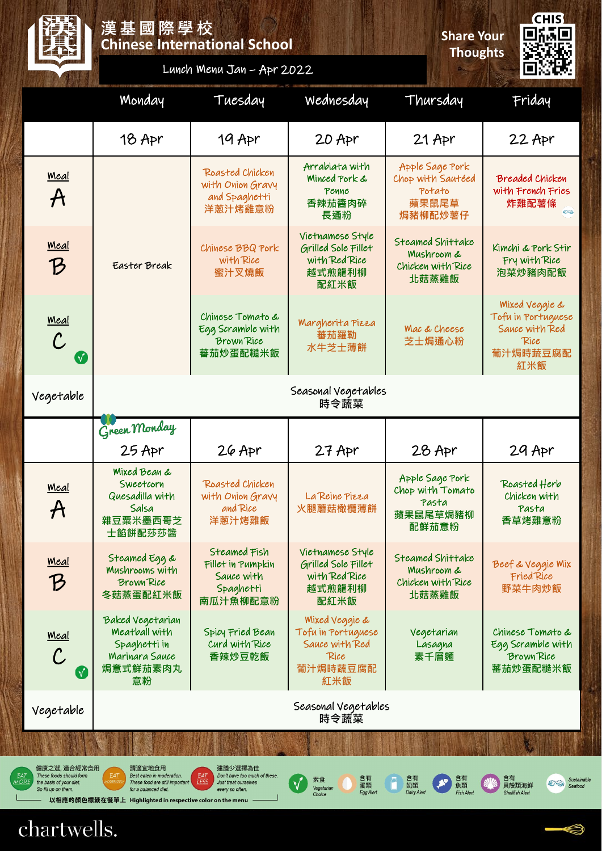

### **Chinese International School 漢基國際學校 Share Your**

**Thoughts**

**CHIS** 回線回 Œ

## Lunch Menu Jan – Apr 2022

|                                                                                                                                                                                                                                                                                                                                                                                                                                                                                                                                                                                                            | Monday                                                                                       | Tuesday                                                                  | Wednesday                                                                         | Thursday                                                                | Friday                                                                            |  |  |  |
|------------------------------------------------------------------------------------------------------------------------------------------------------------------------------------------------------------------------------------------------------------------------------------------------------------------------------------------------------------------------------------------------------------------------------------------------------------------------------------------------------------------------------------------------------------------------------------------------------------|----------------------------------------------------------------------------------------------|--------------------------------------------------------------------------|-----------------------------------------------------------------------------------|-------------------------------------------------------------------------|-----------------------------------------------------------------------------------|--|--|--|
|                                                                                                                                                                                                                                                                                                                                                                                                                                                                                                                                                                                                            | 18 Apr                                                                                       | 19 Apr                                                                   | 20 Apr                                                                            | $21$ Apr                                                                | $22$ Apr                                                                          |  |  |  |
| <u>Meal</u><br>${\boldsymbol{\mathsf{A}}}$                                                                                                                                                                                                                                                                                                                                                                                                                                                                                                                                                                 |                                                                                              | Roasted Chicken<br>with Onion Gravy<br>and Spaghetti<br>洋蔥汁烤雞意粉          | Arrabiata with<br>Minced Pork &<br>Penne<br>香辣茄醬肉碎<br>長通粉                         | Apple Sage Pork<br>Chop with Sautéed<br>Potato<br>蘋果鼠尾草<br>焗豬柳配炒薯仔      | <b>Breaded Chicken</b><br>with French Fries<br>炸雞配薯條<br>ea                        |  |  |  |
| <u>Meal</u><br>$\mathcal{B}$                                                                                                                                                                                                                                                                                                                                                                                                                                                                                                                                                                               | Easter Break                                                                                 | Chinese BBQ Pork<br>with Rice<br>蜜汁叉燒飯                                   | Vietnamese Style<br>Grilled Sole Fillet<br>with Red Rice<br>越式煎龍利柳<br>配紅米飯        | Steamed Shittake<br><b>Mushroom &amp;</b><br>Chicken with Rice<br>北菇蒸雞飯 | Kimchi & Pork Stir<br>Fry with Rice<br>泡菜炒豬肉配飯                                    |  |  |  |
| <u>Meal</u><br>$\mathcal C$<br>$\sqrt{}$                                                                                                                                                                                                                                                                                                                                                                                                                                                                                                                                                                   |                                                                                              | Chinese Tomato &<br>Egg Scramble with<br><b>Brown Rice</b><br>蕃茄炒蛋配糙米飯   | Margherita Pizza<br>蕃茄羅勒<br>水牛芝士薄餅                                                | Mac & Cheese<br>芝士焗通心粉                                                  | Mixed Veggie &<br>Tofu in Portuguese<br>Sauce with Red<br>Rice<br>葡汁焗時蔬豆腐配<br>紅米飯 |  |  |  |
| Vegetable                                                                                                                                                                                                                                                                                                                                                                                                                                                                                                                                                                                                  | Seasonal Vegetables<br>時令蔬菜                                                                  |                                                                          |                                                                                   |                                                                         |                                                                                   |  |  |  |
|                                                                                                                                                                                                                                                                                                                                                                                                                                                                                                                                                                                                            | Green Monday                                                                                 |                                                                          |                                                                                   |                                                                         |                                                                                   |  |  |  |
|                                                                                                                                                                                                                                                                                                                                                                                                                                                                                                                                                                                                            | $25$ Apr                                                                                     | $26$ Apr                                                                 | $27$ Apr                                                                          | 28 Apr                                                                  | 29 Apr                                                                            |  |  |  |
| <u>Meal</u><br>$\bm{\mathcal{A}}$                                                                                                                                                                                                                                                                                                                                                                                                                                                                                                                                                                          | <b>Mixed Bean &amp;</b><br>Sweetcorn<br>Quesadilla with<br>Salsa<br>雜豆粟米墨西哥芝<br>士餡餅配莎莎醬      | Roasted Chicken<br>with Onion Gravy<br>and Rice<br>洋蔥汁烤雞飯                | La Reine Pizza<br>火腿蘑菇橄欖薄餅                                                        | Apple Sage Pork<br>Chop with Tomato<br>Pasta<br>蘋果鼠尾草焗豬柳<br>配鮮茄意粉       | Roasted Herb<br>Chicken with<br>Pasta<br>香草烤雞意粉                                   |  |  |  |
| <u>Meal</u><br>$\bm{\mathcal{B}}$                                                                                                                                                                                                                                                                                                                                                                                                                                                                                                                                                                          | Steamed Egg &<br><b>Mushrooms with</b><br><b>Brown Rice</b><br>冬菇蒸蛋配紅米飯                      | Steamed Fish<br>Fillet in Pumpkin<br>Sauce with<br>Spaghetti<br>南瓜汁魚柳配意粉 | Vietnamese Style<br>Grilled Sole Fillet<br>with Red Rice<br>越式煎龍利柳<br>配紅米飯        | Steamed Shittake<br>Mushroom &<br>Chicken with Rice<br>北菇蒸雞飯            | Beef & Veggie Mix<br>Fried Rice<br>野菜牛肉炒飯                                         |  |  |  |
| <u> Meal</u><br>$\checkmark$                                                                                                                                                                                                                                                                                                                                                                                                                                                                                                                                                                               | Baked Vegetarian<br>Meatball with<br>Spaghetti in<br><b>Marinara Sauce</b><br>焗意式鮮茄素肉丸<br>意粉 | Spicy Fried Bean<br>Curd with Rice<br>香辣炒豆乾飯                             | Mixed Veggie &<br>Tofu in Portuguese<br>Sauce with Red<br>Rice<br>葡汁焗時蔬豆腐配<br>紅米飯 | Vegetarian<br>Lasagna<br>素千層麵                                           | Chinese Tomato &<br>Egg Scramble with<br><b>Brown Rice</b><br>蕃茄炒蛋配糙米飯            |  |  |  |
| Vegetable                                                                                                                                                                                                                                                                                                                                                                                                                                                                                                                                                                                                  | Seasonal Vegetables<br>時令蔬菜                                                                  |                                                                          |                                                                                   |                                                                         |                                                                                   |  |  |  |
|                                                                                                                                                                                                                                                                                                                                                                                                                                                                                                                                                                                                            |                                                                                              |                                                                          |                                                                                   |                                                                         |                                                                                   |  |  |  |
| 健康之選, 適合經常食用<br>請適宜地食用<br>建議少選擇為佳<br>These foods should form<br>EAT<br>EAT<br>Don't have too much of these.<br>Best eaten in moderation.<br>含有<br>含有<br>含有<br>含有<br>素食<br>Sust<br>LESS<br><b>ODERATE</b><br>These food are still important<br>the basis of your diet.<br>Just treat ourselves<br>$\mathcal{L} \hookrightarrow$<br>奶類<br>魚類<br>貝殻類海鮮<br>蛋類<br>Seaf<br>Vegetarian<br>for a balanced diet.<br>So fill up on them.<br>every so often.<br><b>Dairy Alert</b><br>Egg Alert<br><b>Fish Alen</b><br><b>Shellfish Alert</b><br>Choice<br>以相應的顏色標籤在餐單上   Highlighted in respective color on the menu |                                                                                              |                                                                          |                                                                                   |                                                                         |                                                                                   |  |  |  |

chartwells.



able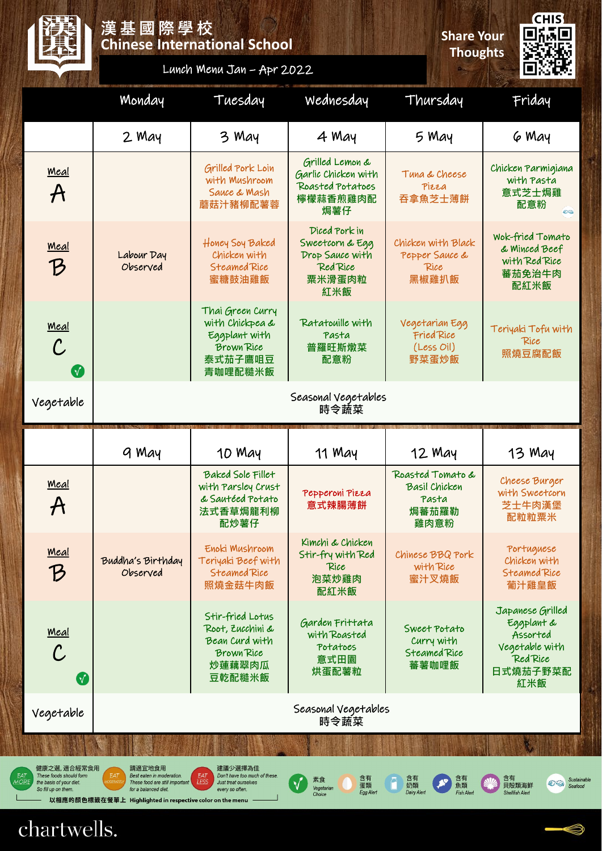### **Chinese International School 漢基國際學校 Share Your**

**Thoughts**

**CHIS** 回訴回 Ē

|  |  |  |  | Lunch Menu Jan - Apr 2022 |
|--|--|--|--|---------------------------|
|--|--|--|--|---------------------------|

|                                            | Monday                        | Tuesday                                                                                         | Wednesday                                                                        | Thursday                                                           | Friday                                                                                      |  |  |  |  |
|--------------------------------------------|-------------------------------|-------------------------------------------------------------------------------------------------|----------------------------------------------------------------------------------|--------------------------------------------------------------------|---------------------------------------------------------------------------------------------|--|--|--|--|
|                                            | 2 May                         | 3 May                                                                                           | 4 May                                                                            | 5 May                                                              | 6 May                                                                                       |  |  |  |  |
| Meal<br>$\boldsymbol{\mathcal{A}}$         |                               | Grilled Pork Loin<br>with Mushroom<br>Sauce & Mash<br>蘑菇汁豬柳配薯蓉                                  | Grilled Lemon &<br>Garlic Chicken with<br>Roasted Potatoes<br>檸檬蒜香煎雞肉配<br>焗薯仔    | Tuna & Cheese<br>Pizza<br>吞拿魚芝士薄餅                                  | Chicken Parmigiana<br>with Pasta<br>意式芝士焗雞<br>配意粉<br>e a                                    |  |  |  |  |
| <u>Meal</u><br>$\mathcal B$                | Labour Day<br>Observed        | Honey Soy Baked<br>Chicken with<br>Steamed Rice<br>蜜糖鼓油雞飯                                       | Diced Pork in<br>Sweetcorn & Egg<br>Drop Sauce with<br>Red Rice<br>粟米滑蛋肉粒<br>紅米飯 | Chicken with Black<br>Pepper Sauce &<br>Rice<br>黑椒雞扒飯              | Wok-fried Tomato<br>& Minced Beef<br>with Red Rice<br>蕃茄免治牛肉<br>配紅米飯                        |  |  |  |  |
| <u>Meal</u><br>$\mathcal C$<br>$\mathbf V$ |                               | Thai Green Curry<br>with Chickpea &<br>Eggplant with<br><b>Brown Rice</b><br>泰式茄子鷹咀豆<br>青咖哩配糙米飯 | Ratatouille with<br>Pasta<br>普羅旺斯燉菜<br>配意粉                                       | Vegetarian Egg<br>Fried Rice<br>(Less Oil)<br>野菜蛋炒飯                | Teriyaki Tofu with<br>Rice<br>照燒豆腐配飯                                                        |  |  |  |  |
| Vegetable                                  | Seasonal Vegetables<br>時令蔬菜   |                                                                                                 |                                                                                  |                                                                    |                                                                                             |  |  |  |  |
|                                            |                               |                                                                                                 |                                                                                  |                                                                    |                                                                                             |  |  |  |  |
|                                            | 9 May                         | 10 May                                                                                          | 11 May                                                                           | 12 May                                                             | 13 May                                                                                      |  |  |  |  |
| Meal<br>$\bm{\mathcal{H}}$                 |                               | Baked Sole Fillet<br>with Parsley Crust<br>& Sautéed Potato<br>法式香草焗龍利柳<br>配炒薯仔                 | Pepperoni Pizza<br>意式辣腸薄餅                                                        | Roasted Tomato &<br><b>Basil Chicken</b><br>Pasta<br>焗蕃茄羅勒<br>雞肉意粉 | Cheese Burger<br>with Sweetcorn<br>芝士牛肉漢堡<br>配粒粒粟米                                          |  |  |  |  |
| <u> Meal</u><br>$\bm{\mathcal{B}}$         | Buddha's Birthday<br>Observed | Enoki Mushroom<br>Teriyaki Beef with<br>Steamed Rice<br>照燒金菇牛肉飯                                 | Kimchi & Chicken<br>Stir-fry with Red<br>Rice<br>泡菜炒雞肉<br>配紅米飯                   | Chinese BBQ Pork<br>with Rice<br>蜜汁叉燒飯                             | Portuguese<br>Chicken with<br>Steamed Rice<br>葡汁雞皇飯                                         |  |  |  |  |
| <u> Meal</u><br>$\mathcal C$<br>$\sqrt{}$  |                               | Stir-fried Lotus<br>Root, Zucchini &<br>Bean Curd with<br><b>Brown Rice</b><br>炒蓮藕翠肉瓜<br>豆乾配糙米飯 | Garden Frittata<br>with Roasted<br>Potatoes<br>意式田園<br>烘蛋配薯粒                     | Sweet Potato<br>Curry with<br>Steamed Rice<br>蕃薯咖哩飯                | Japanese Grilled<br>Eggplant &<br>Assorted<br>Vegetable with<br>Red Rice<br>日式燒茄子野菜配<br>紅米飯 |  |  |  |  |
| Vegetable                                  |                               |                                                                                                 | Seasonal Vegetables<br>時令蔬菜                                                      |                                                                    |                                                                                             |  |  |  |  |
|                                            |                               |                                                                                                 |                                                                                  |                                                                    |                                                                                             |  |  |  |  |

# chartwells.

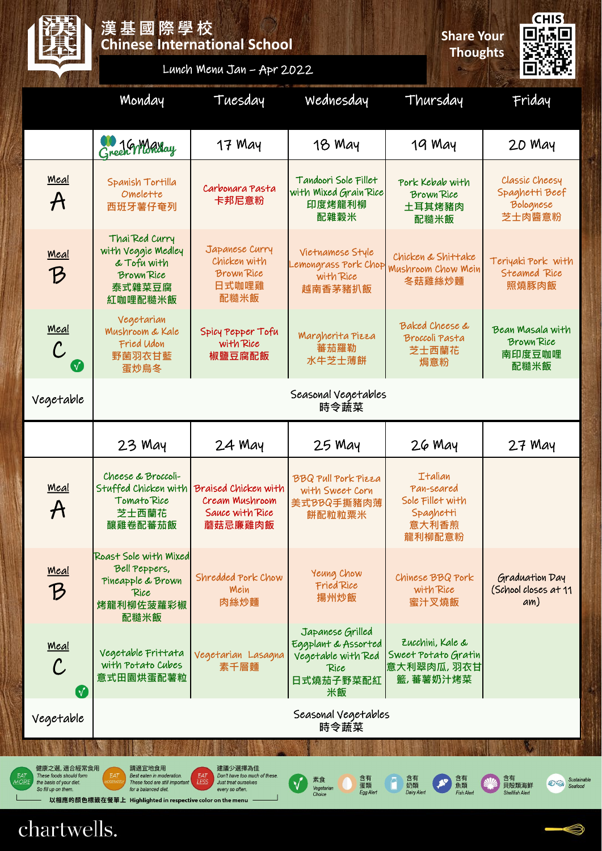|                                                            | 漢基國際學校                                                                                        | <b>Chinese International School</b>                                  | <b>Share Your</b><br><b>Thoughts</b>                                                     | <b>CHIS</b><br>orio                                                              |                                                         |  |  |  |  |
|------------------------------------------------------------|-----------------------------------------------------------------------------------------------|----------------------------------------------------------------------|------------------------------------------------------------------------------------------|----------------------------------------------------------------------------------|---------------------------------------------------------|--|--|--|--|
|                                                            |                                                                                               | Lunch Menu Jan - Apr 2022                                            |                                                                                          |                                                                                  |                                                         |  |  |  |  |
|                                                            | Monday                                                                                        | Tuesday                                                              | Wednesday                                                                                | Thursday                                                                         | Friday                                                  |  |  |  |  |
|                                                            | Green Warday                                                                                  | 17 May                                                               | 18 May                                                                                   | 19 May                                                                           | 20 May                                                  |  |  |  |  |
| <u>Meal</u><br>$\bm{\mathcal{A}}$                          | Spanish Tortilla<br>Omelette<br>西班牙薯仔奄列                                                       | Carbonara Pasta<br>卡邦尼意粉                                             | Tandoori Sole Fillet<br>with Mixed Grain Rice<br>印度烤龍利柳<br>配雜穀米                          | Pork Kebab with<br><b>Brown Rice</b><br>土耳其烤豬肉<br>配糙米飯                           | Classic Cheesy<br>Spaghetti Beef<br>Bolognese<br>芝士肉醬意粉 |  |  |  |  |
| <u>Meal</u><br>$\mathcal{B}$                               | Thai Red Curry<br>with Veggie Medley<br>& Tofu with<br><b>Brown Rice</b><br>泰式雜菜豆腐<br>紅咖哩配糙米飯 | Japanese Curry<br>Chicken with<br><b>Brown Rice</b><br>日式咖哩雞<br>配糙米飯 | Vietnamese Style<br>Lemongrass Pork Chop<br>with Rice<br>越南香茅豬扒飯                         | Chicken & Shittake<br>Mushroom Chow Mein<br>冬菇雞絲炒麵                               | Teriyaki Pork with<br>Steamed Rice<br>照燒豚肉飯             |  |  |  |  |
| <u>Meal</u><br>${\cal C}$                                  | Vegetarian<br><b>Mushroom &amp; Kale</b><br>Fried Udon<br>野菌羽衣甘藍<br>蛋炒烏冬                      | Spicy Pepper Tofu<br>with Rice<br>椒鹽豆腐配飯                             | Margherita Pizza<br>蕃茄羅勒<br>水牛芝士薄餅                                                       | <b>Baked Cheese &amp;</b><br>Broccoli Pasta<br>芝士西蘭花<br>焗意粉                      | Bean Masala with<br><b>Brown Rice</b><br>南印度豆咖哩<br>配糙米飯 |  |  |  |  |
| Vegetable                                                  | Seasonal Vegetables<br>時令蔬菜                                                                   |                                                                      |                                                                                          |                                                                                  |                                                         |  |  |  |  |
|                                                            | $23$ May                                                                                      | $24$ May                                                             | 25 May                                                                                   | 26 May                                                                           |                                                         |  |  |  |  |
|                                                            |                                                                                               |                                                                      |                                                                                          |                                                                                  | $27$ May                                                |  |  |  |  |
| <u>Meal</u><br>$\bm{\mathcal{A}}$                          | Cheese & Broccoli-<br>Stuffed Chicken with<br>Tomato Rice<br>芝士西蘭花<br>釀雞卷配蕃茄飯                 | Braised Chicken with<br>Cream Mushroom<br>Sauce with Rice<br>蘑菇忌廉雞肉飯 | <b>BBQ Pull Pork Pizza</b><br>with Sweet Corn<br>美式BBQ手撕豬肉薄<br>餅配粒粒粟米                    | <b>Italian</b><br>Pan-seared<br>Sole Fillet with<br>Spaghetti<br>意大利香煎<br>龍利柳配意粉 |                                                         |  |  |  |  |
| <u>Meal</u><br>$\bm{\mathcal{B}}$                          | Roast Sole with Mixed<br>Bell Peppers,<br>Pineapple & Brown<br>Rice<br>烤龍利柳佐菠蘿彩椒<br>配糙米飯      | Shredded Pork Chow<br>Mein<br>肉絲炒麵                                   | Yeung Chow<br>Fried Rice<br>揚州炒飯                                                         | Chinese BBQ Pork<br>with Rice<br>蜜汁叉燒飯                                           | Graduation Day<br>(School closes at 11<br>am)           |  |  |  |  |
| <u>Meal</u><br>$\mathcal{C}$<br>$\boldsymbol{\mathcal{N}}$ | Vegetable Frittata<br>with Potato Cubes<br>意式田園烘蛋配薯粒                                          | Vegetarian Lasagna<br>素千層麵                                           | Japanese Grilled<br>Eggplant & Assorted<br>Vegetable with Red<br>Rice<br>日式燒茄子野菜配紅<br>米飯 | Zucchini, Kale &<br>Sweet Potato Gratin<br>意大利翠肉瓜, 羽衣甘<br>籃, 蕃薯奶汁烤菜              |                                                         |  |  |  |  |
| Vegetable                                                  |                                                                                               |                                                                      | Seasonal Vegetables<br>時令蔬菜                                                              |                                                                                  |                                                         |  |  |  |  |
|                                                            |                                                                                               |                                                                      |                                                                                          |                                                                                  |                                                         |  |  |  |  |

chartwells.